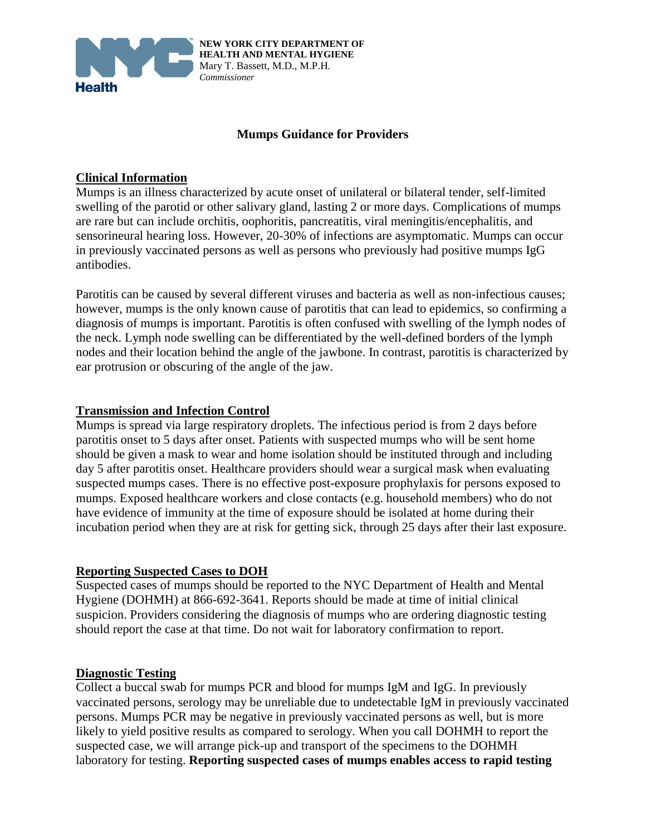

**NEW YORK CITY DEPARTMENT OF HEALTH AND MENTAL HYGIENE** Mary T. Bassett, M.D., M.P.H. *Commissioner*

### **Mumps Guidance for Providers**

### **Clinical Information**

Mumps is an illness characterized by acute onset of unilateral or bilateral tender, self-limited swelling of the parotid or other salivary gland, lasting 2 or more days. Complications of mumps are rare but can include orchitis, oophoritis, pancreatitis, viral meningitis/encephalitis, and sensorineural hearing loss. However, 20-30% of infections are asymptomatic. Mumps can occur in previously vaccinated persons as well as persons who previously had positive mumps IgG antibodies.

Parotitis can be caused by several different viruses and bacteria as well as non-infectious causes; however, mumps is the only known cause of parotitis that can lead to epidemics, so confirming a diagnosis of mumps is important. Parotitis is often confused with swelling of the lymph nodes of the neck. Lymph node swelling can be differentiated by the well-defined borders of the lymph nodes and their location behind the angle of the jawbone. In contrast, parotitis is characterized by ear protrusion or obscuring of the angle of the jaw.

#### **Transmission and Infection Control**

Mumps is spread via large respiratory droplets. The infectious period is from 2 days before parotitis onset to 5 days after onset. Patients with suspected mumps who will be sent home should be given a mask to wear and home isolation should be instituted through and including day 5 after parotitis onset. Healthcare providers should wear a surgical mask when evaluating suspected mumps cases. There is no effective post-exposure prophylaxis for persons exposed to mumps. Exposed healthcare workers and close contacts (e.g. household members) who do not have evidence of immunity at the time of exposure should be isolated at home during their incubation period when they are at risk for getting sick, through 25 days after their last exposure.

#### **Reporting Suspected Cases to DOH**

Suspected cases of mumps should be reported to the NYC Department of Health and Mental Hygiene (DOHMH) at 866-692-3641. Reports should be made at time of initial clinical suspicion. Providers considering the diagnosis of mumps who are ordering diagnostic testing should report the case at that time. Do not wait for laboratory confirmation to report.

#### **Diagnostic Testing**

Collect a buccal swab for mumps PCR and blood for mumps IgM and IgG. In previously vaccinated persons, serology may be unreliable due to undetectable IgM in previously vaccinated persons. Mumps PCR may be negative in previously vaccinated persons as well, but is more likely to yield positive results as compared to serology. When you call DOHMH to report the suspected case, we will arrange pick-up and transport of the specimens to the DOHMH laboratory for testing. **Reporting suspected cases of mumps enables access to rapid testing**